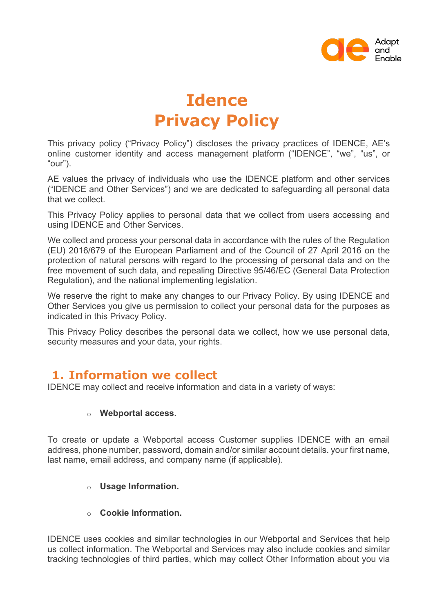

# **Idence Privacy Policy**

This privacy policy ("Privacy Policy") discloses the privacy practices of IDENCE, AE's online customer identity and access management platform ("IDENCE", "we", "us", or "our").

AE values the privacy of individuals who use the IDENCE platform and other services ("IDENCE and Other Services") and we are dedicated to safeguarding all personal data that we collect.

This Privacy Policy applies to personal data that we collect from users accessing and using IDENCE and Other Services.

We collect and process your personal data in accordance with the rules of the Regulation (EU) 2016/679 of the European Parliament and of the Council of 27 April 2016 on the protection of natural persons with regard to the processing of personal data and on the free movement of such data, and repealing Directive 95/46/EC (General Data Protection Regulation), and the national implementing legislation.

We reserve the right to make any changes to our Privacy Policy. By using IDENCE and Other Services you give us permission to collect your personal data for the purposes as indicated in this Privacy Policy.

This Privacy Policy describes the personal data we collect, how we use personal data, security measures and your data, your rights.

### **1. Information we collect**

IDENCE may collect and receive information and data in a variety of ways:

#### o **Webportal access.**

To create or update a Webportal access Customer supplies IDENCE with an email address, phone number, password, domain and/or similar account details. your first name, last name, email address, and company name (if applicable).

#### o **Usage Information.**

o **Cookie Information.**

IDENCE uses cookies and similar technologies in our Webportal and Services that help us collect information. The Webportal and Services may also include cookies and similar tracking technologies of third parties, which may collect Other Information about you via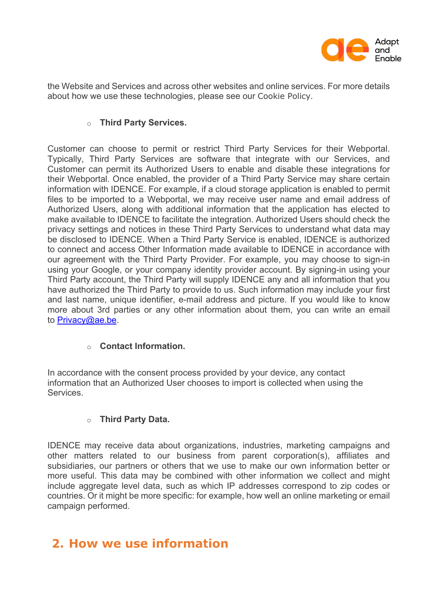

the Website and Services and across other websites and online services. For more details about how we use these technologies, please see our Cookie Policy.

#### o **Third Party Services.**

Customer can choose to permit or restrict Third Party Services for their Webportal. Typically, Third Party Services are software that integrate with our Services, and Customer can permit its Authorized Users to enable and disable these integrations for their Webportal. Once enabled, the provider of a Third Party Service may share certain information with IDENCE. For example, if a cloud storage application is enabled to permit files to be imported to a Webportal, we may receive user name and email address of Authorized Users, along with additional information that the application has elected to make available to IDENCE to facilitate the integration. Authorized Users should check the privacy settings and notices in these Third Party Services to understand what data may be disclosed to IDENCE. When a Third Party Service is enabled, IDENCE is authorized to connect and access Other Information made available to IDENCE in accordance with our agreement with the Third Party Provider. For example, you may choose to sign-in using your Google, or your company identity provider account. By signing-in using your Third Party account, the Third Party will supply IDENCE any and all information that you have authorized the Third Party to provide to us. Such information may include your first and last name, unique identifier, e-mail address and picture. If you would like to know more about 3rd parties or any other information about them, you can write an email to Privacy@ae.be.

#### o **Contact Information.**

In accordance with the consent process provided by your device, any contact information that an Authorized User chooses to import is collected when using the Services.

#### o **Third Party Data.**

IDENCE may receive data about organizations, industries, marketing campaigns and other matters related to our business from parent corporation(s), affiliates and subsidiaries, our partners or others that we use to make our own information better or more useful. This data may be combined with other information we collect and might include aggregate level data, such as which IP addresses correspond to zip codes or countries. Or it might be more specific: for example, how well an online marketing or email campaign performed.

### **2. How we use information**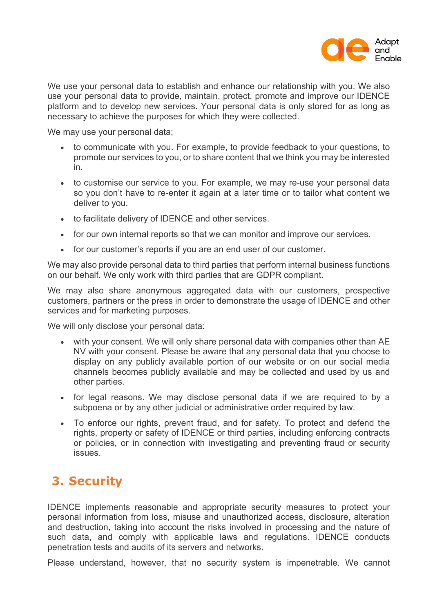

We use your personal data to establish and enhance our relationship with you. We also use your personal data to provide, maintain, protect, promote and improve our IDENCE platform and to develop new services. Your personal data is only stored for as long as necessary to achieve the purposes for which they were collected.

We may use your personal data;

- to communicate with you. For example, to provide feedback to your questions, to promote our services to you, or to share content that we think you may be interested in.
- to customise our service to you. For example, we may re-use your personal data so you don't have to re-enter it again at a later time or to tailor what content we deliver to you.
- to facilitate delivery of IDENCE and other services.
- for our own internal reports so that we can monitor and improve our services.
- for our customer's reports if you are an end user of our customer.

We may also provide personal data to third parties that perform internal business functions on our behalf. We only work with third parties that are GDPR compliant.

We may also share anonymous aggregated data with our customers, prospective customers, partners or the press in order to demonstrate the usage of IDENCE and other services and for marketing purposes.

We will only disclose your personal data:

- with your consent. We will only share personal data with companies other than AE NV with your consent. Please be aware that any personal data that you choose to display on any publicly available portion of our website or on our social media channels becomes publicly available and may be collected and used by us and other parties.
- for legal reasons. We may disclose personal data if we are required to by a subpoena or by any other judicial or administrative order required by law.
- To enforce our rights, prevent fraud, and for safety. To protect and defend the rights, property or safety of IDENCE or third parties, including enforcing contracts or policies, or in connection with investigating and preventing fraud or security issues.

# **3. Security**

IDENCE implements reasonable and appropriate security measures to protect your personal information from loss, misuse and unauthorized access, disclosure, alteration and destruction, taking into account the risks involved in processing and the nature of such data, and comply with applicable laws and regulations. IDENCE conducts penetration tests and audits of its servers and networks.

Please understand, however, that no security system is impenetrable. We cannot